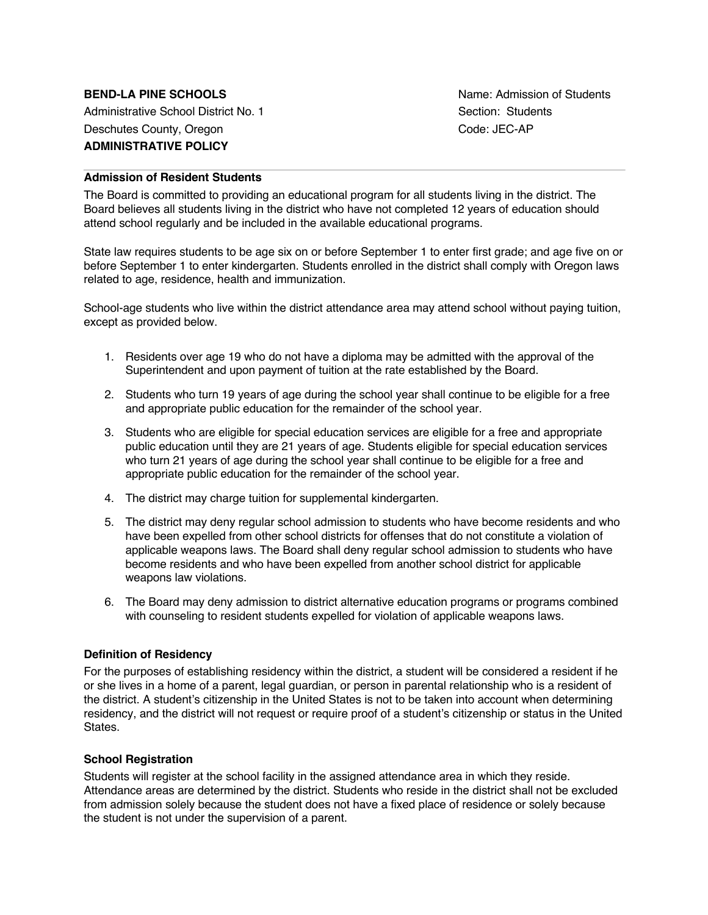Administrative School District No. 1 Section: Students Deschutes County, Oregon Code: JEC-AP **ADMINISTRATIVE POLICY**

**BEND-LA PINE SCHOOLS Name:** Admission of Students

# **Admission of Resident Students**

The Board is committed to providing an educational program for all students living in the district. The Board believes all students living in the district who have not completed 12 years of education should attend school regularly and be included in the available educational programs.

State law requires students to be age six on or before September 1 to enter first grade; and age five on or before September 1 to enter kindergarten. Students enrolled in the district shall comply with Oregon laws related to age, residence, health and immunization.

School-age students who live within the district attendance area may attend school without paying tuition, except as provided below.

- 1. Residents over age 19 who do not have a diploma may be admitted with the approval of the Superintendent and upon payment of tuition at the rate established by the Board.
- 2. Students who turn 19 years of age during the school year shall continue to be eligible for a free and appropriate public education for the remainder of the school year.
- 3. Students who are eligible for special education services are eligible for a free and appropriate public education until they are 21 years of age. Students eligible for special education services who turn 21 years of age during the school year shall continue to be eligible for a free and appropriate public education for the remainder of the school year.
- 4. The district may charge tuition for supplemental kindergarten.
- 5. The district may deny regular school admission to students who have become residents and who have been expelled from other school districts for offenses that do not constitute a violation of applicable weapons laws. The Board shall deny regular school admission to students who have become residents and who have been expelled from another school district for applicable weapons law violations.
- 6. The Board may deny admission to district alternative education programs or programs combined with counseling to resident students expelled for violation of applicable weapons laws.

## **Definition of Residency**

For the purposes of establishing residency within the district, a student will be considered a resident if he or she lives in a home of a parent, legal guardian, or person in parental relationship who is a resident of the district. A student's citizenship in the United States is not to be taken into account when determining residency, and the district will not request or require proof of a student's citizenship or status in the United States.

#### **School Registration**

Students will register at the school facility in the assigned attendance area in which they reside. Attendance areas are determined by the district. Students who reside in the district shall not be excluded from admission solely because the student does not have a fixed place of residence or solely because the student is not under the supervision of a parent.